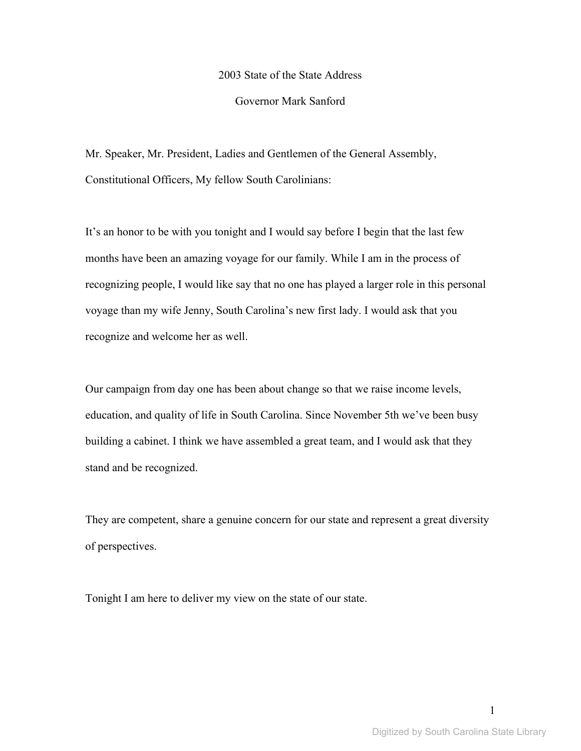### 2003 State of the State Address

### Governor Mark Sanford

Mr. Speaker, Mr. President, Ladies and Gentlemen of the General Assembly, Constitutional Officers, My fellow South Carolinians:

It's an honor to be with you tonight and I would say before I begin that the last few months have been an amazing voyage for our family. While I am in the process of recognizing people, I would like say that no one has played a larger role in this personal voyage than my wife Jenny, South Carolina's new first lady. I would ask that you recognize and welcome her as well.

Our campaign from day one has been about change so that we raise income levels, education, and quality of life in South Carolina. Since November 5th we've been busy building a cabinet. I think we have assembled a great team, and I would ask that they stand and be recognized.

They are competent, share a genuine concern for our state and represent a great diversity of perspectives.

Tonight I am here to deliver my view on the state of our state.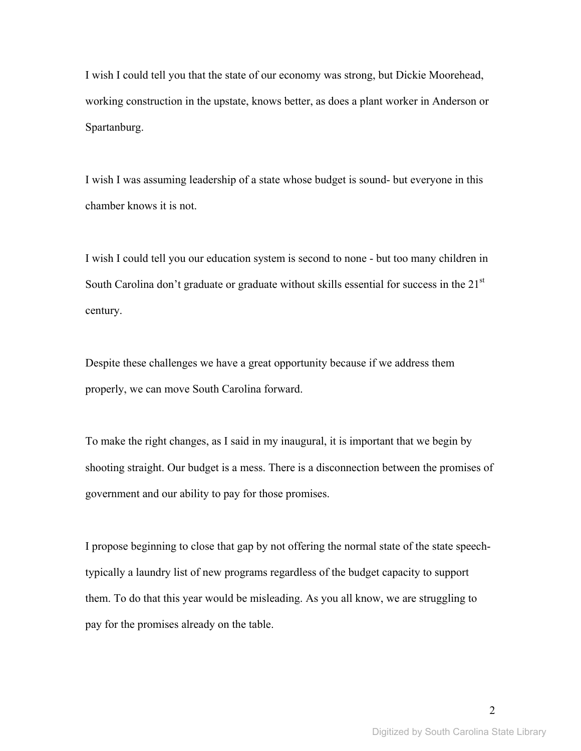I wish I could tell you that the state of our economy was strong, but Dickie Moorehead, working construction in the upstate, knows better, as does a plant worker in Anderson or Spartanburg.

I wish I was assuming leadership of a state whose budget is sound- but everyone in this chamber knows it is not.

I wish I could tell you our education system is second to none - but too many children in South Carolina don't graduate or graduate without skills essential for success in the 21<sup>st</sup> century.

Despite these challenges we have a great opportunity because if we address them properly, we can move South Carolina forward.

To make the right changes, as I said in my inaugural, it is important that we begin by shooting straight. Our budget is a mess. There is a disconnection between the promises of government and our ability to pay for those promises.

I propose beginning to close that gap by not offering the normal state of the state speechtypically a laundry list of new programs regardless of the budget capacity to support them. To do that this year would be misleading. As you all know, we are struggling to pay for the promises already on the table.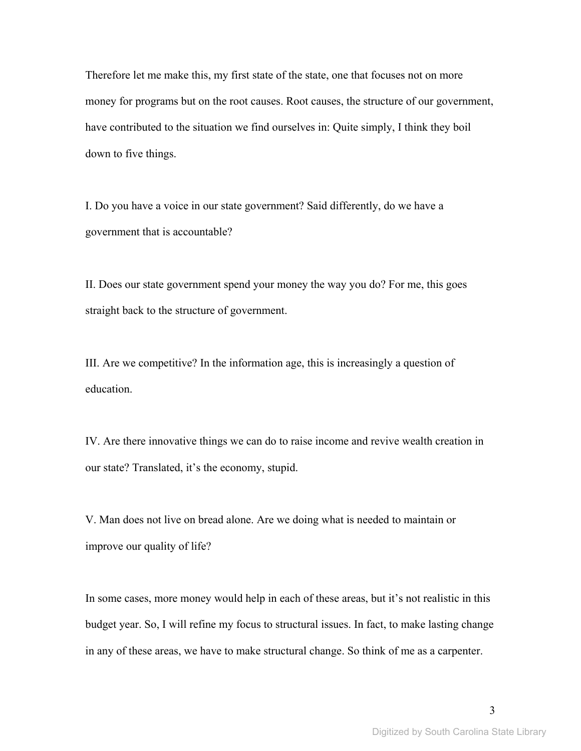Therefore let me make this, my first state of the state, one that focuses not on more money for programs but on the root causes. Root causes, the structure of our government, have contributed to the situation we find ourselves in: Quite simply, I think they boil down to five things.

I. Do you have a voice in our state government? Said differently, do we have a government that is accountable?

II. Does our state government spend your money the way you do? For me, this goes straight back to the structure of government.

III. Are we competitive? In the information age, this is increasingly a question of education.

IV. Are there innovative things we can do to raise income and revive wealth creation in our state? Translated, it's the economy, stupid.

V. Man does not live on bread alone. Are we doing what is needed to maintain or improve our quality of life?

In some cases, more money would help in each of these areas, but it's not realistic in this budget year. So, I will refine my focus to structural issues. In fact, to make lasting change in any of these areas, we have to make structural change. So think of me as a carpenter.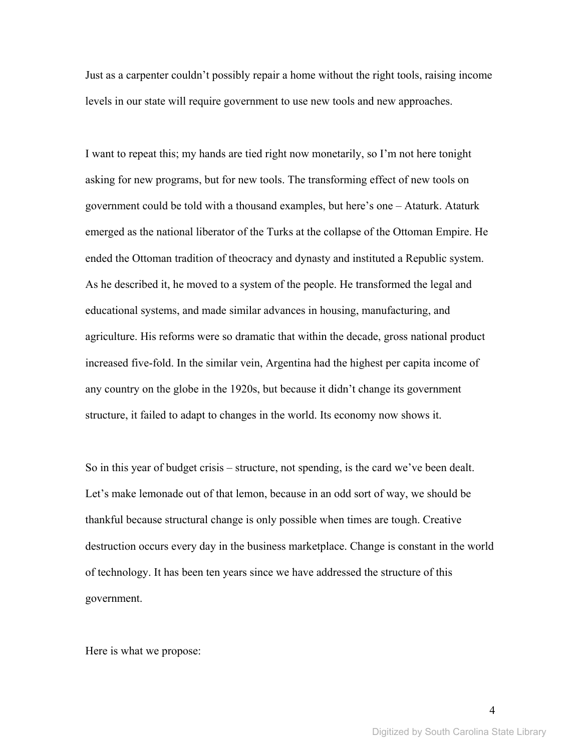Just as a carpenter couldn't possibly repair a home without the right tools, raising income levels in our state will require government to use new tools and new approaches.

I want to repeat this; my hands are tied right now monetarily, so I'm not here tonight asking for new programs, but for new tools. The transforming effect of new tools on government could be told with a thousand examples, but here's one – Ataturk. Ataturk emerged as the national liberator of the Turks at the collapse of the Ottoman Empire. He ended the Ottoman tradition of theocracy and dynasty and instituted a Republic system. As he described it, he moved to a system of the people. He transformed the legal and educational systems, and made similar advances in housing, manufacturing, and agriculture. His reforms were so dramatic that within the decade, gross national product increased five-fold. In the similar vein, Argentina had the highest per capita income of any country on the globe in the 1920s, but because it didn't change its government structure, it failed to adapt to changes in the world. Its economy now shows it.

So in this year of budget crisis – structure, not spending, is the card we've been dealt. Let's make lemonade out of that lemon, because in an odd sort of way, we should be thankful because structural change is only possible when times are tough. Creative destruction occurs every day in the business marketplace. Change is constant in the world of technology. It has been ten years since we have addressed the structure of this government.

Here is what we propose: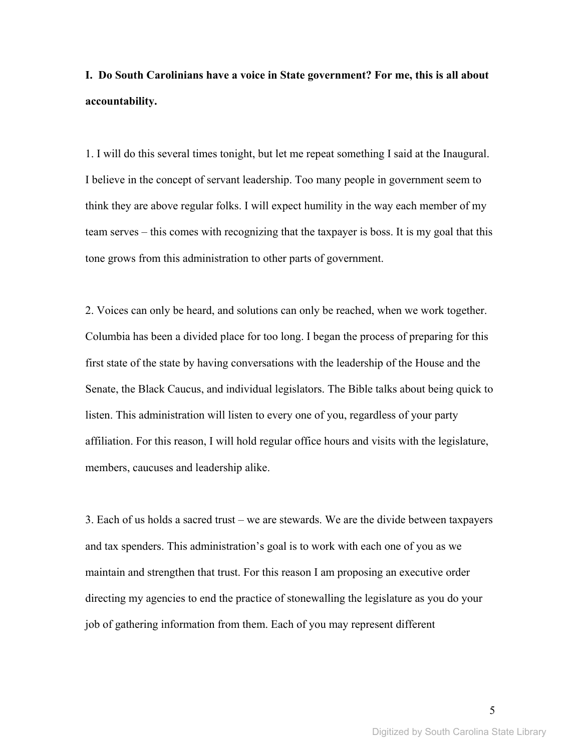**I. Do South Carolinians have a voice in State government? For me, this is all about accountability.** 

1. I will do this several times tonight, but let me repeat something I said at the Inaugural. I believe in the concept of servant leadership. Too many people in government seem to think they are above regular folks. I will expect humility in the way each member of my team serves – this comes with recognizing that the taxpayer is boss. It is my goal that this tone grows from this administration to other parts of government.

2. Voices can only be heard, and solutions can only be reached, when we work together. Columbia has been a divided place for too long. I began the process of preparing for this first state of the state by having conversations with the leadership of the House and the Senate, the Black Caucus, and individual legislators. The Bible talks about being quick to listen. This administration will listen to every one of you, regardless of your party affiliation. For this reason, I will hold regular office hours and visits with the legislature, members, caucuses and leadership alike.

3. Each of us holds a sacred trust – we are stewards. We are the divide between taxpayers and tax spenders. This administration's goal is to work with each one of you as we maintain and strengthen that trust. For this reason I am proposing an executive order directing my agencies to end the practice of stonewalling the legislature as you do your job of gathering information from them. Each of you may represent different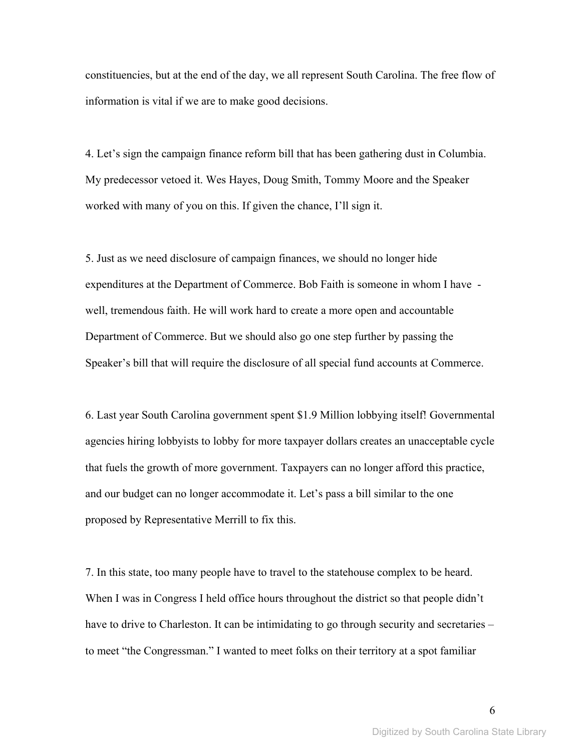constituencies, but at the end of the day, we all represent South Carolina. The free flow of information is vital if we are to make good decisions.

4. Let's sign the campaign finance reform bill that has been gathering dust in Columbia. My predecessor vetoed it. Wes Hayes, Doug Smith, Tommy Moore and the Speaker worked with many of you on this. If given the chance, I'll sign it.

5. Just as we need disclosure of campaign finances, we should no longer hide expenditures at the Department of Commerce. Bob Faith is someone in whom I have well, tremendous faith. He will work hard to create a more open and accountable Department of Commerce. But we should also go one step further by passing the Speaker's bill that will require the disclosure of all special fund accounts at Commerce.

6. Last year South Carolina government spent \$1.9 Million lobbying itself! Governmental agencies hiring lobbyists to lobby for more taxpayer dollars creates an unacceptable cycle that fuels the growth of more government. Taxpayers can no longer afford this practice, and our budget can no longer accommodate it. Let's pass a bill similar to the one proposed by Representative Merrill to fix this.

7. In this state, too many people have to travel to the statehouse complex to be heard. When I was in Congress I held office hours throughout the district so that people didn't have to drive to Charleston. It can be intimidating to go through security and secretaries – to meet "the Congressman." I wanted to meet folks on their territory at a spot familiar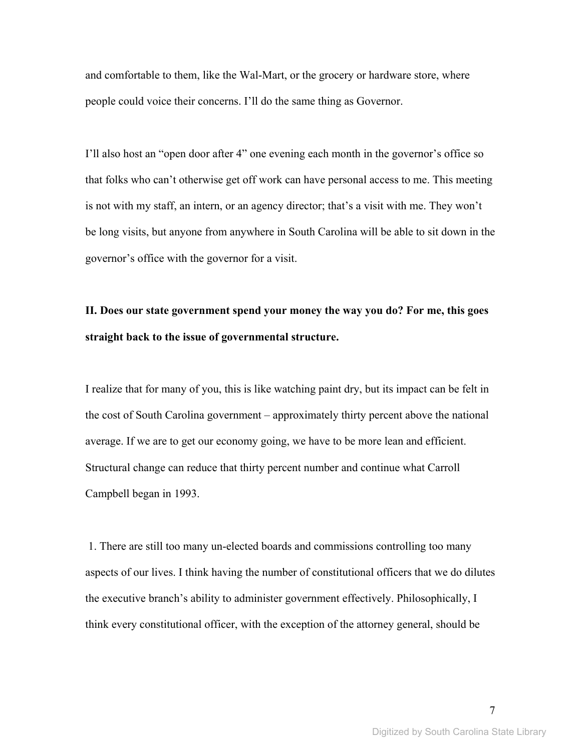and comfortable to them, like the Wal-Mart, or the grocery or hardware store, where people could voice their concerns. I'll do the same thing as Governor.

I'll also host an "open door after 4" one evening each month in the governor's office so that folks who can't otherwise get off work can have personal access to me. This meeting is not with my staff, an intern, or an agency director; that's a visit with me. They won't be long visits, but anyone from anywhere in South Carolina will be able to sit down in the governor's office with the governor for a visit.

# **II. Does our state government spend your money the way you do? For me, this goes straight back to the issue of governmental structure.**

I realize that for many of you, this is like watching paint dry, but its impact can be felt in the cost of South Carolina government – approximately thirty percent above the national average. If we are to get our economy going, we have to be more lean and efficient. Structural change can reduce that thirty percent number and continue what Carroll Campbell began in 1993.

 1. There are still too many un-elected boards and commissions controlling too many aspects of our lives. I think having the number of constitutional officers that we do dilutes the executive branch's ability to administer government effectively. Philosophically, I think every constitutional officer, with the exception of the attorney general, should be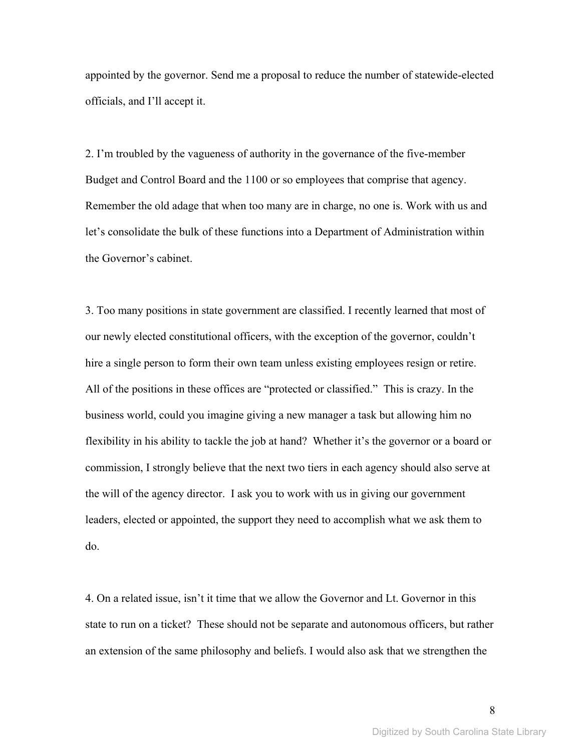appointed by the governor. Send me a proposal to reduce the number of statewide-elected officials, and I'll accept it.

2. I'm troubled by the vagueness of authority in the governance of the five-member Budget and Control Board and the 1100 or so employees that comprise that agency. Remember the old adage that when too many are in charge, no one is. Work with us and let's consolidate the bulk of these functions into a Department of Administration within the Governor's cabinet.

3. Too many positions in state government are classified. I recently learned that most of our newly elected constitutional officers, with the exception of the governor, couldn't hire a single person to form their own team unless existing employees resign or retire. All of the positions in these offices are "protected or classified." This is crazy. In the business world, could you imagine giving a new manager a task but allowing him no flexibility in his ability to tackle the job at hand? Whether it's the governor or a board or commission, I strongly believe that the next two tiers in each agency should also serve at the will of the agency director. I ask you to work with us in giving our government leaders, elected or appointed, the support they need to accomplish what we ask them to do.

4. On a related issue, isn't it time that we allow the Governor and Lt. Governor in this state to run on a ticket? These should not be separate and autonomous officers, but rather an extension of the same philosophy and beliefs. I would also ask that we strengthen the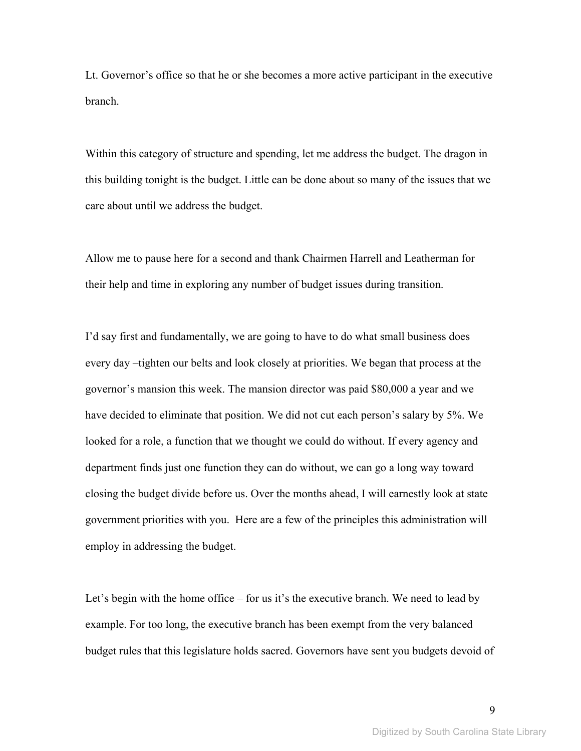Lt. Governor's office so that he or she becomes a more active participant in the executive branch.

Within this category of structure and spending, let me address the budget. The dragon in this building tonight is the budget. Little can be done about so many of the issues that we care about until we address the budget.

Allow me to pause here for a second and thank Chairmen Harrell and Leatherman for their help and time in exploring any number of budget issues during transition.

I'd say first and fundamentally, we are going to have to do what small business does every day –tighten our belts and look closely at priorities. We began that process at the governor's mansion this week. The mansion director was paid \$80,000 a year and we have decided to eliminate that position. We did not cut each person's salary by 5%. We looked for a role, a function that we thought we could do without. If every agency and department finds just one function they can do without, we can go a long way toward closing the budget divide before us. Over the months ahead, I will earnestly look at state government priorities with you. Here are a few of the principles this administration will employ in addressing the budget.

Let's begin with the home office – for us it's the executive branch. We need to lead by example. For too long, the executive branch has been exempt from the very balanced budget rules that this legislature holds sacred. Governors have sent you budgets devoid of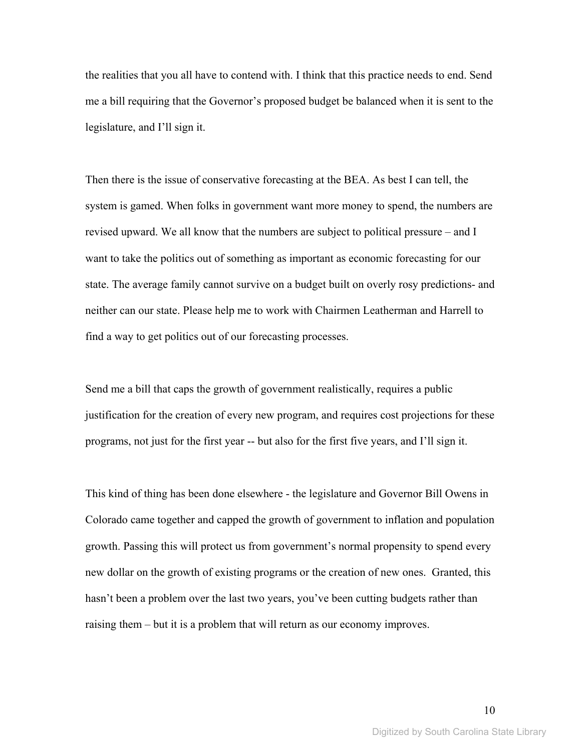the realities that you all have to contend with. I think that this practice needs to end. Send me a bill requiring that the Governor's proposed budget be balanced when it is sent to the legislature, and I'll sign it.

Then there is the issue of conservative forecasting at the BEA. As best I can tell, the system is gamed. When folks in government want more money to spend, the numbers are revised upward. We all know that the numbers are subject to political pressure – and I want to take the politics out of something as important as economic forecasting for our state. The average family cannot survive on a budget built on overly rosy predictions- and neither can our state. Please help me to work with Chairmen Leatherman and Harrell to find a way to get politics out of our forecasting processes.

Send me a bill that caps the growth of government realistically, requires a public justification for the creation of every new program, and requires cost projections for these programs, not just for the first year -- but also for the first five years, and I'll sign it.

This kind of thing has been done elsewhere - the legislature and Governor Bill Owens in Colorado came together and capped the growth of government to inflation and population growth. Passing this will protect us from government's normal propensity to spend every new dollar on the growth of existing programs or the creation of new ones. Granted, this hasn't been a problem over the last two years, you've been cutting budgets rather than raising them – but it is a problem that will return as our economy improves.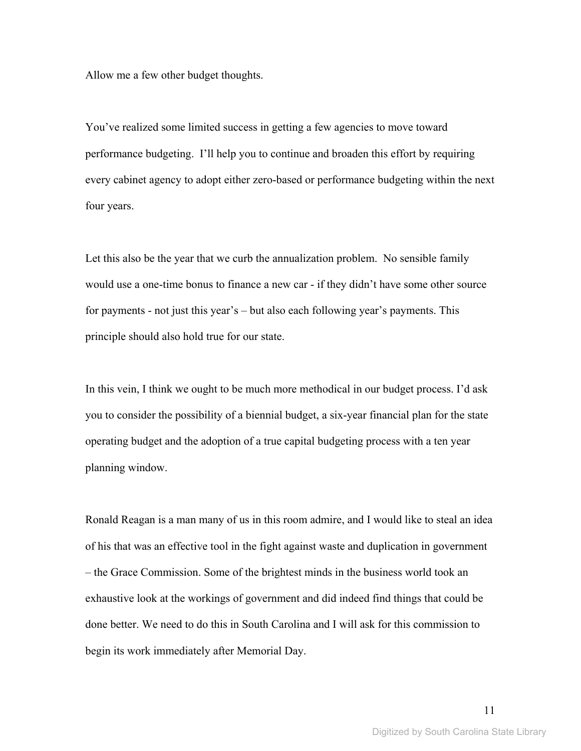Allow me a few other budget thoughts.

You've realized some limited success in getting a few agencies to move toward performance budgeting. I'll help you to continue and broaden this effort by requiring every cabinet agency to adopt either zero-based or performance budgeting within the next four years.

Let this also be the year that we curb the annualization problem. No sensible family would use a one-time bonus to finance a new car - if they didn't have some other source for payments - not just this year's – but also each following year's payments. This principle should also hold true for our state.

In this vein, I think we ought to be much more methodical in our budget process. I'd ask you to consider the possibility of a biennial budget, a six-year financial plan for the state operating budget and the adoption of a true capital budgeting process with a ten year planning window.

Ronald Reagan is a man many of us in this room admire, and I would like to steal an idea of his that was an effective tool in the fight against waste and duplication in government – the Grace Commission. Some of the brightest minds in the business world took an exhaustive look at the workings of government and did indeed find things that could be done better. We need to do this in South Carolina and I will ask for this commission to begin its work immediately after Memorial Day.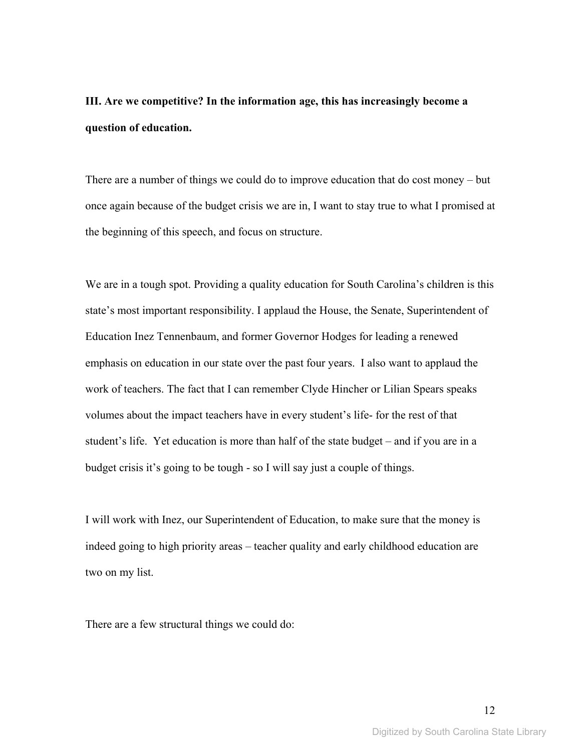**III. Are we competitive? In the information age, this has increasingly become a question of education.** 

There are a number of things we could do to improve education that do cost money – but once again because of the budget crisis we are in, I want to stay true to what I promised at the beginning of this speech, and focus on structure.

We are in a tough spot. Providing a quality education for South Carolina's children is this state's most important responsibility. I applaud the House, the Senate, Superintendent of Education Inez Tennenbaum, and former Governor Hodges for leading a renewed emphasis on education in our state over the past four years. I also want to applaud the work of teachers. The fact that I can remember Clyde Hincher or Lilian Spears speaks volumes about the impact teachers have in every student's life- for the rest of that student's life. Yet education is more than half of the state budget – and if you are in a budget crisis it's going to be tough - so I will say just a couple of things.

I will work with Inez, our Superintendent of Education, to make sure that the money is indeed going to high priority areas – teacher quality and early childhood education are two on my list.

There are a few structural things we could do: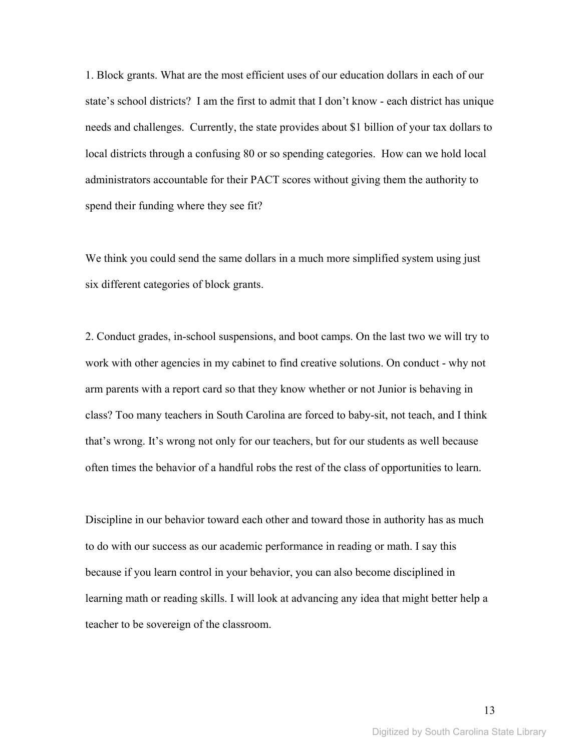1. Block grants. What are the most efficient uses of our education dollars in each of our state's school districts? I am the first to admit that I don't know - each district has unique needs and challenges. Currently, the state provides about \$1 billion of your tax dollars to local districts through a confusing 80 or so spending categories. How can we hold local administrators accountable for their PACT scores without giving them the authority to spend their funding where they see fit?

We think you could send the same dollars in a much more simplified system using just six different categories of block grants.

2. Conduct grades, in-school suspensions, and boot camps. On the last two we will try to work with other agencies in my cabinet to find creative solutions. On conduct - why not arm parents with a report card so that they know whether or not Junior is behaving in class? Too many teachers in South Carolina are forced to baby-sit, not teach, and I think that's wrong. It's wrong not only for our teachers, but for our students as well because often times the behavior of a handful robs the rest of the class of opportunities to learn.

Discipline in our behavior toward each other and toward those in authority has as much to do with our success as our academic performance in reading or math. I say this because if you learn control in your behavior, you can also become disciplined in learning math or reading skills. I will look at advancing any idea that might better help a teacher to be sovereign of the classroom.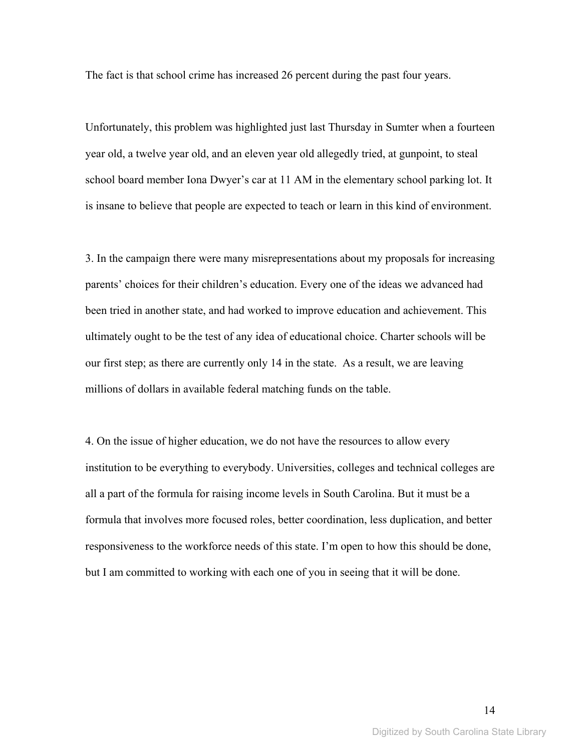The fact is that school crime has increased 26 percent during the past four years.

Unfortunately, this problem was highlighted just last Thursday in Sumter when a fourteen year old, a twelve year old, and an eleven year old allegedly tried, at gunpoint, to steal school board member Iona Dwyer's car at 11 AM in the elementary school parking lot. It is insane to believe that people are expected to teach or learn in this kind of environment.

3. In the campaign there were many misrepresentations about my proposals for increasing parents' choices for their children's education. Every one of the ideas we advanced had been tried in another state, and had worked to improve education and achievement. This ultimately ought to be the test of any idea of educational choice. Charter schools will be our first step; as there are currently only 14 in the state. As a result, we are leaving millions of dollars in available federal matching funds on the table.

4. On the issue of higher education, we do not have the resources to allow every institution to be everything to everybody. Universities, colleges and technical colleges are all a part of the formula for raising income levels in South Carolina. But it must be a formula that involves more focused roles, better coordination, less duplication, and better responsiveness to the workforce needs of this state. I'm open to how this should be done, but I am committed to working with each one of you in seeing that it will be done.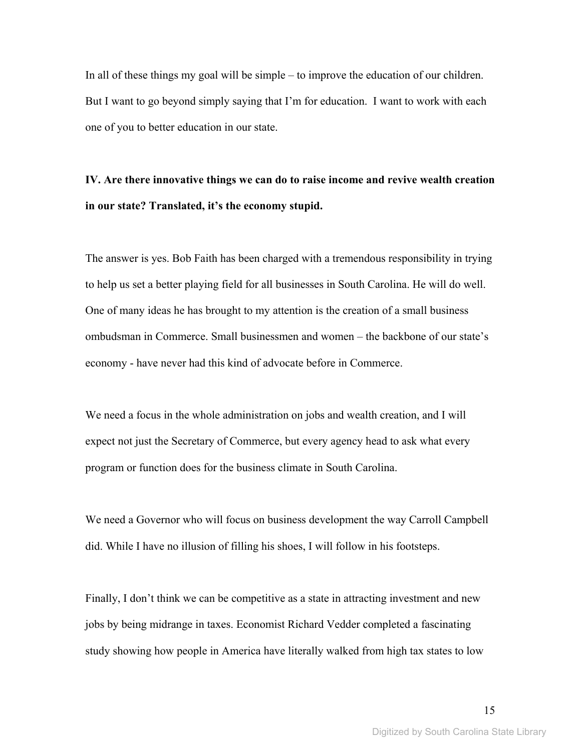In all of these things my goal will be simple – to improve the education of our children. But I want to go beyond simply saying that I'm for education. I want to work with each one of you to better education in our state.

## **IV. Are there innovative things we can do to raise income and revive wealth creation in our state? Translated, it's the economy stupid.**

The answer is yes. Bob Faith has been charged with a tremendous responsibility in trying to help us set a better playing field for all businesses in South Carolina. He will do well. One of many ideas he has brought to my attention is the creation of a small business ombudsman in Commerce. Small businessmen and women – the backbone of our state's economy - have never had this kind of advocate before in Commerce.

We need a focus in the whole administration on jobs and wealth creation, and I will expect not just the Secretary of Commerce, but every agency head to ask what every program or function does for the business climate in South Carolina.

We need a Governor who will focus on business development the way Carroll Campbell did. While I have no illusion of filling his shoes, I will follow in his footsteps.

Finally, I don't think we can be competitive as a state in attracting investment and new jobs by being midrange in taxes. Economist Richard Vedder completed a fascinating study showing how people in America have literally walked from high tax states to low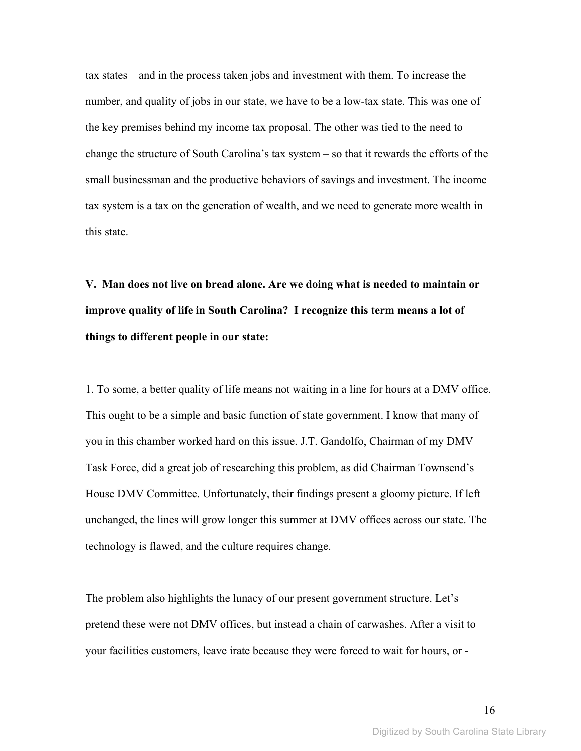tax states – and in the process taken jobs and investment with them. To increase the number, and quality of jobs in our state, we have to be a low-tax state. This was one of the key premises behind my income tax proposal. The other was tied to the need to change the structure of South Carolina's tax system – so that it rewards the efforts of the small businessman and the productive behaviors of savings and investment. The income tax system is a tax on the generation of wealth, and we need to generate more wealth in this state.

**V. Man does not live on bread alone. Are we doing what is needed to maintain or improve quality of life in South Carolina? I recognize this term means a lot of things to different people in our state:** 

1. To some, a better quality of life means not waiting in a line for hours at a DMV office. This ought to be a simple and basic function of state government. I know that many of you in this chamber worked hard on this issue. J.T. Gandolfo, Chairman of my DMV Task Force, did a great job of researching this problem, as did Chairman Townsend's House DMV Committee. Unfortunately, their findings present a gloomy picture. If left unchanged, the lines will grow longer this summer at DMV offices across our state. The technology is flawed, and the culture requires change.

The problem also highlights the lunacy of our present government structure. Let's pretend these were not DMV offices, but instead a chain of carwashes. After a visit to your facilities customers, leave irate because they were forced to wait for hours, or -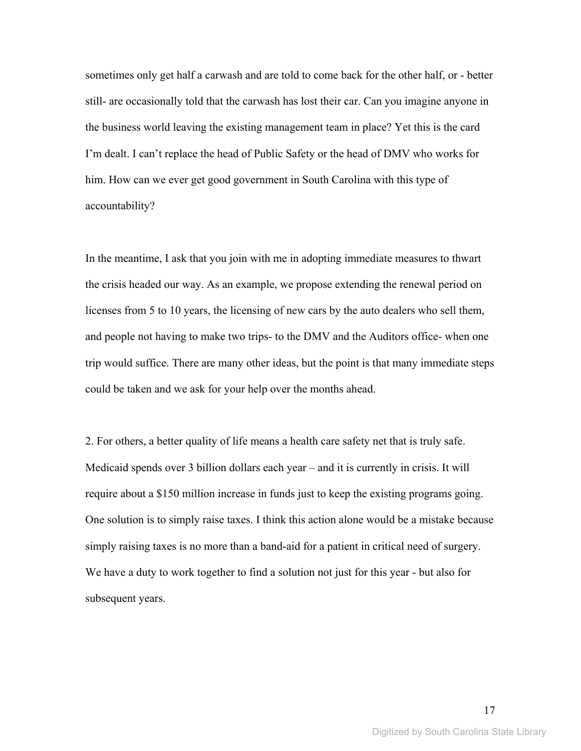sometimes only get half a carwash and are told to come back for the other half, or - better still- are occasionally told that the carwash has lost their car. Can you imagine anyone in the business world leaving the existing management team in place? Yet this is the card I'm dealt. I can't replace the head of Public Safety or the head of DMV who works for him. How can we ever get good government in South Carolina with this type of accountability?

In the meantime, I ask that you join with me in adopting immediate measures to thwart the crisis headed our way. As an example, we propose extending the renewal period on licenses from 5 to 10 years, the licensing of new cars by the auto dealers who sell them, and people not having to make two trips- to the DMV and the Auditors office- when one trip would suffice. There are many other ideas, but the point is that many immediate steps could be taken and we ask for your help over the months ahead.

2. For others, a better quality of life means a health care safety net that is truly safe. Medicaid spends over 3 billion dollars each year – and it is currently in crisis. It will require about a \$150 million increase in funds just to keep the existing programs going. One solution is to simply raise taxes. I think this action alone would be a mistake because simply raising taxes is no more than a band-aid for a patient in critical need of surgery. We have a duty to work together to find a solution not just for this year - but also for subsequent years.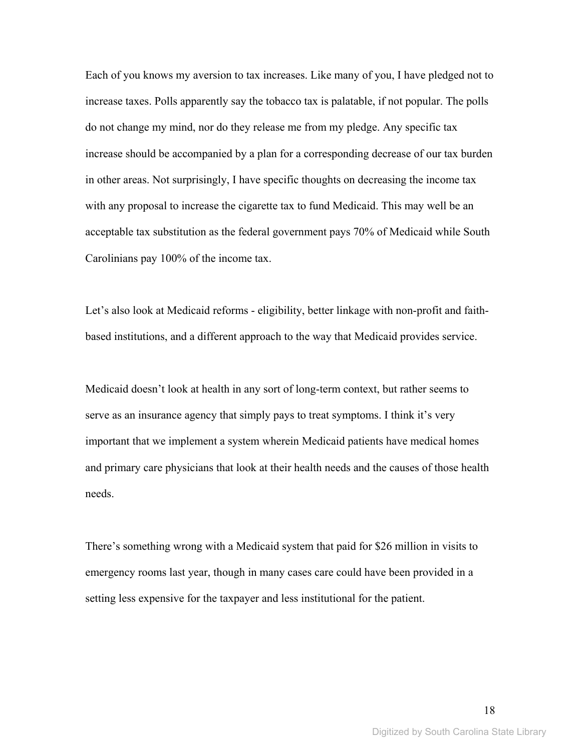Each of you knows my aversion to tax increases. Like many of you, I have pledged not to increase taxes. Polls apparently say the tobacco tax is palatable, if not popular. The polls do not change my mind, nor do they release me from my pledge. Any specific tax increase should be accompanied by a plan for a corresponding decrease of our tax burden in other areas. Not surprisingly, I have specific thoughts on decreasing the income tax with any proposal to increase the cigarette tax to fund Medicaid. This may well be an acceptable tax substitution as the federal government pays 70% of Medicaid while South Carolinians pay 100% of the income tax.

Let's also look at Medicaid reforms - eligibility, better linkage with non-profit and faithbased institutions, and a different approach to the way that Medicaid provides service.

Medicaid doesn't look at health in any sort of long-term context, but rather seems to serve as an insurance agency that simply pays to treat symptoms. I think it's very important that we implement a system wherein Medicaid patients have medical homes and primary care physicians that look at their health needs and the causes of those health needs.

There's something wrong with a Medicaid system that paid for \$26 million in visits to emergency rooms last year, though in many cases care could have been provided in a setting less expensive for the taxpayer and less institutional for the patient.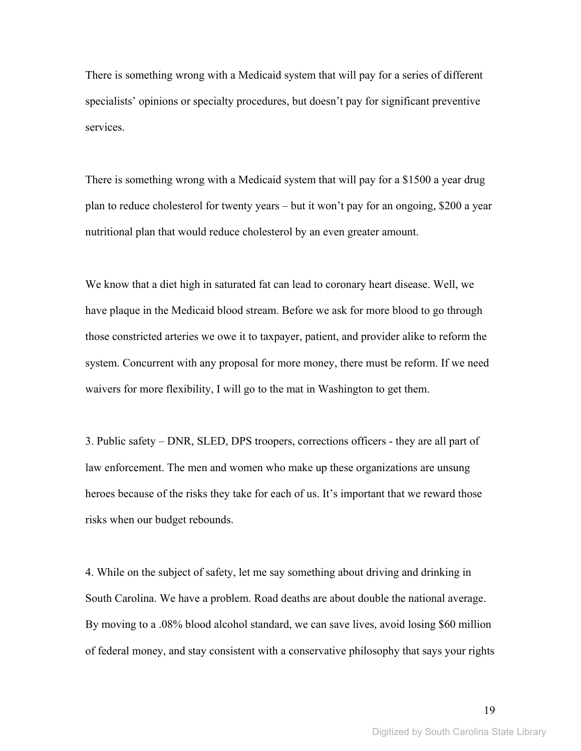There is something wrong with a Medicaid system that will pay for a series of different specialists' opinions or specialty procedures, but doesn't pay for significant preventive services.

There is something wrong with a Medicaid system that will pay for a \$1500 a year drug plan to reduce cholesterol for twenty years – but it won't pay for an ongoing, \$200 a year nutritional plan that would reduce cholesterol by an even greater amount.

We know that a diet high in saturated fat can lead to coronary heart disease. Well, we have plaque in the Medicaid blood stream. Before we ask for more blood to go through those constricted arteries we owe it to taxpayer, patient, and provider alike to reform the system. Concurrent with any proposal for more money, there must be reform. If we need waivers for more flexibility, I will go to the mat in Washington to get them.

3. Public safety – DNR, SLED, DPS troopers, corrections officers - they are all part of law enforcement. The men and women who make up these organizations are unsung heroes because of the risks they take for each of us. It's important that we reward those risks when our budget rebounds.

4. While on the subject of safety, let me say something about driving and drinking in South Carolina. We have a problem. Road deaths are about double the national average. By moving to a .08% blood alcohol standard, we can save lives, avoid losing \$60 million of federal money, and stay consistent with a conservative philosophy that says your rights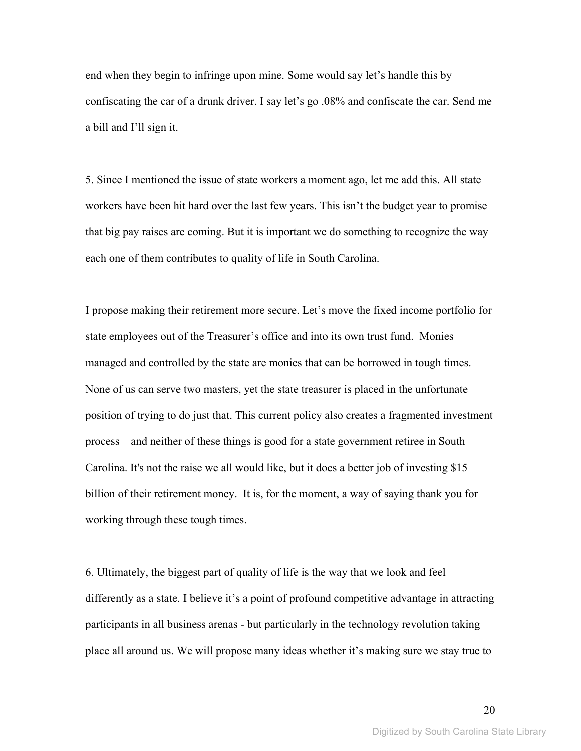end when they begin to infringe upon mine. Some would say let's handle this by confiscating the car of a drunk driver. I say let's go .08% and confiscate the car. Send me a bill and I'll sign it.

5. Since I mentioned the issue of state workers a moment ago, let me add this. All state workers have been hit hard over the last few years. This isn't the budget year to promise that big pay raises are coming. But it is important we do something to recognize the way each one of them contributes to quality of life in South Carolina.

I propose making their retirement more secure. Let's move the fixed income portfolio for state employees out of the Treasurer's office and into its own trust fund. Monies managed and controlled by the state are monies that can be borrowed in tough times. None of us can serve two masters, yet the state treasurer is placed in the unfortunate position of trying to do just that. This current policy also creates a fragmented investment process – and neither of these things is good for a state government retiree in South Carolina. It's not the raise we all would like, but it does a better job of investing \$15 billion of their retirement money. It is, for the moment, a way of saying thank you for working through these tough times.

6. Ultimately, the biggest part of quality of life is the way that we look and feel differently as a state. I believe it's a point of profound competitive advantage in attracting participants in all business arenas - but particularly in the technology revolution taking place all around us. We will propose many ideas whether it's making sure we stay true to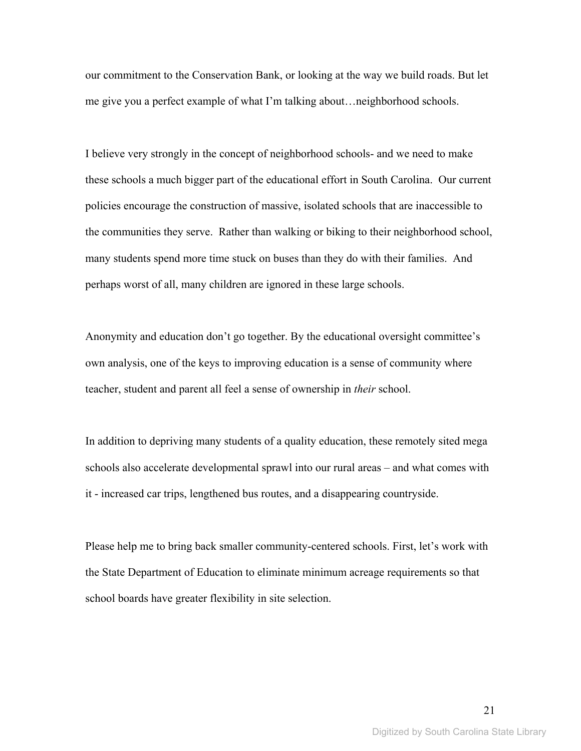our commitment to the Conservation Bank, or looking at the way we build roads. But let me give you a perfect example of what I'm talking about…neighborhood schools.

I believe very strongly in the concept of neighborhood schools- and we need to make these schools a much bigger part of the educational effort in South Carolina. Our current policies encourage the construction of massive, isolated schools that are inaccessible to the communities they serve. Rather than walking or biking to their neighborhood school, many students spend more time stuck on buses than they do with their families. And perhaps worst of all, many children are ignored in these large schools.

Anonymity and education don't go together. By the educational oversight committee's own analysis, one of the keys to improving education is a sense of community where teacher, student and parent all feel a sense of ownership in *their* school.

In addition to depriving many students of a quality education, these remotely sited mega schools also accelerate developmental sprawl into our rural areas – and what comes with it - increased car trips, lengthened bus routes, and a disappearing countryside.

Please help me to bring back smaller community-centered schools. First, let's work with the State Department of Education to eliminate minimum acreage requirements so that school boards have greater flexibility in site selection.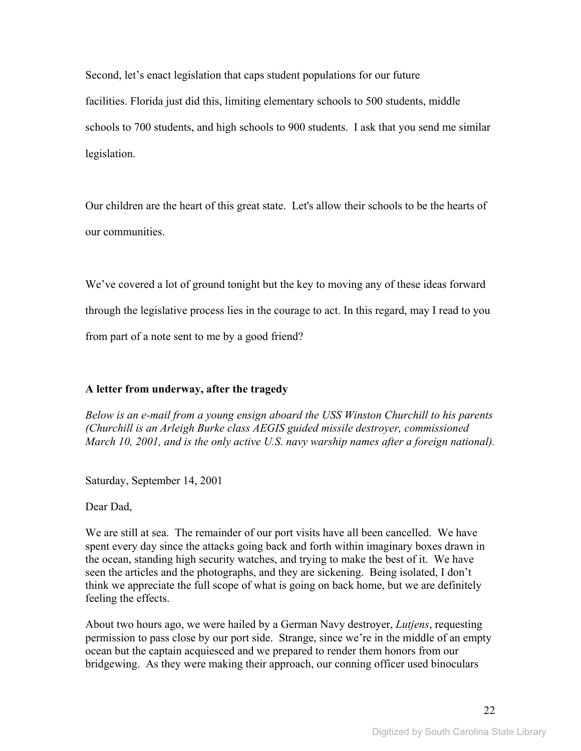Second, let's enact legislation that caps student populations for our future facilities. Florida just did this, limiting elementary schools to 500 students, middle schools to 700 students, and high schools to 900 students. I ask that you send me similar legislation.

Our children are the heart of this great state. Let's allow their schools to be the hearts of our communities.

We've covered a lot of ground tonight but the key to moving any of these ideas forward through the legislative process lies in the courage to act. In this regard, may I read to you from part of a note sent to me by a good friend?

### **A letter from underway, after the tragedy**

*Below is an e-mail from a young ensign aboard the USS Winston Churchill to his parents (Churchill is an Arleigh Burke class AEGIS guided missile destroyer, commissioned March 10, 2001, and is the only active U.S. navy warship names after a foreign national).* 

Saturday, September 14, 2001

Dear Dad,

We are still at sea. The remainder of our port visits have all been cancelled. We have spent every day since the attacks going back and forth within imaginary boxes drawn in the ocean, standing high security watches, and trying to make the best of it. We have seen the articles and the photographs, and they are sickening. Being isolated, I don't think we appreciate the full scope of what is going on back home, but we are definitely feeling the effects.

About two hours ago, we were hailed by a German Navy destroyer, *Lutjens*, requesting permission to pass close by our port side. Strange, since we're in the middle of an empty ocean but the captain acquiesced and we prepared to render them honors from our bridgewing. As they were making their approach, our conning officer used binoculars